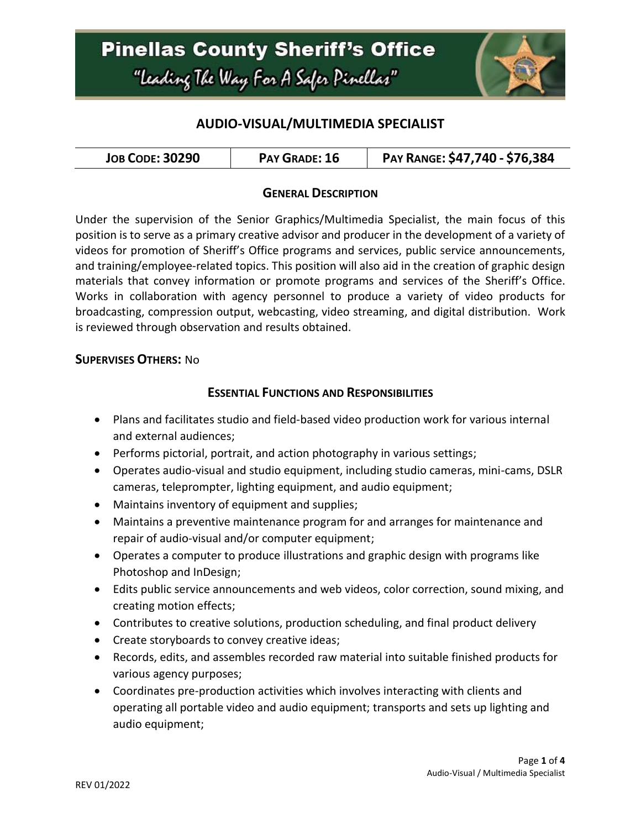# **Pinellas County Sheriff's Office** "Leading The Way For A Safer Pinellar"



## **AUDIO-VISUAL/MULTIMEDIA SPECIALIST**

| <b>JOB CODE: 30290</b><br>PAY GRADE: 16 | PAY RANGE: \$47,740 - \$76,384 |
|-----------------------------------------|--------------------------------|
|-----------------------------------------|--------------------------------|

#### **GENERAL DESCRIPTION**

Under the supervision of the Senior Graphics/Multimedia Specialist, the main focus of this position is to serve as a primary creative advisor and producer in the development of a variety of videos for promotion of Sheriff's Office programs and services, public service announcements, and training/employee-related topics. This position will also aid in the creation of graphic design materials that convey information or promote programs and services of the Sheriff's Office. Works in collaboration with agency personnel to produce a variety of video products for broadcasting, compression output, webcasting, video streaming, and digital distribution. Work is reviewed through observation and results obtained.

#### **SUPERVISES OTHERS:** No

#### **ESSENTIAL FUNCTIONS AND RESPONSIBILITIES**

- Plans and facilitates studio and field-based video production work for various internal and external audiences;
- Performs pictorial, portrait, and action photography in various settings;
- Operates audio-visual and studio equipment, including studio cameras, mini-cams, DSLR cameras, teleprompter, lighting equipment, and audio equipment;
- Maintains inventory of equipment and supplies;
- Maintains a preventive maintenance program for and arranges for maintenance and repair of audio-visual and/or computer equipment;
- Operates a computer to produce illustrations and graphic design with programs like Photoshop and InDesign;
- Edits public service announcements and web videos, color correction, sound mixing, and creating motion effects;
- Contributes to creative solutions, production scheduling, and final product delivery
- Create storyboards to convey creative ideas;
- Records, edits, and assembles recorded raw material into suitable finished products for various agency purposes;
- Coordinates pre-production activities which involves interacting with clients and operating all portable video and audio equipment; transports and sets up lighting and audio equipment;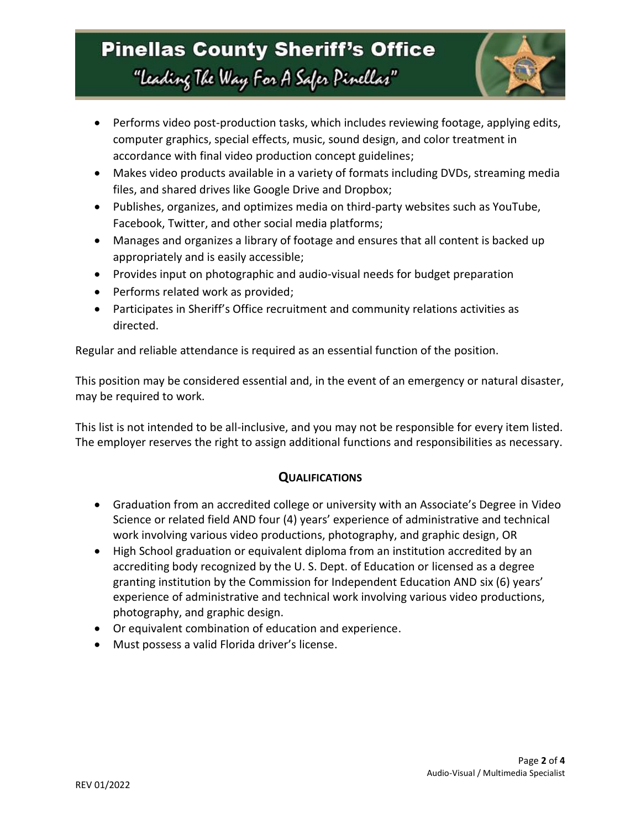# **Pinellas County Sheriff's Office** "Leading The Way For A Safer Pinellar"



- Performs video post-production tasks, which includes reviewing footage, applying edits, computer graphics, special effects, music, sound design, and color treatment in accordance with final video production concept guidelines;
- Makes video products available in a variety of formats including DVDs, streaming media files, and shared drives like Google Drive and Dropbox;
- Publishes, organizes, and optimizes media on third-party websites such as YouTube, Facebook, Twitter, and other social media platforms;
- Manages and organizes a library of footage and ensures that all content is backed up appropriately and is easily accessible;
- Provides input on photographic and audio-visual needs for budget preparation
- Performs related work as provided;
- Participates in Sheriff's Office recruitment and community relations activities as directed.

Regular and reliable attendance is required as an essential function of the position.

This position may be considered essential and, in the event of an emergency or natural disaster, may be required to work.

This list is not intended to be all-inclusive, and you may not be responsible for every item listed. The employer reserves the right to assign additional functions and responsibilities as necessary.

## **QUALIFICATIONS**

- Graduation from an accredited college or university with an Associate's Degree in Video Science or related field AND four (4) years' experience of administrative and technical work involving various video productions, photography, and graphic design, OR
- High School graduation or equivalent diploma from an institution accredited by an accrediting body recognized by the U. S. Dept. of Education or licensed as a degree granting institution by the Commission for Independent Education AND six (6) years' experience of administrative and technical work involving various video productions, photography, and graphic design.
- Or equivalent combination of education and experience.
- Must possess a valid Florida driver's license.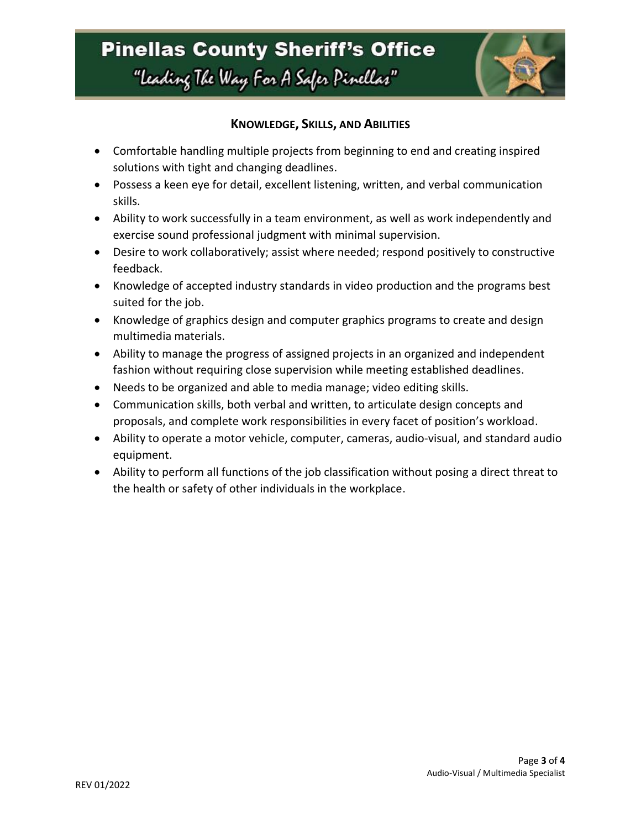

### **KNOWLEDGE, SKILLS, AND ABILITIES**

- Comfortable handling multiple projects from beginning to end and creating inspired solutions with tight and changing deadlines.
- Possess a keen eye for detail, excellent listening, written, and verbal communication skills.
- Ability to work successfully in a team environment, as well as work independently and exercise sound professional judgment with minimal supervision.
- Desire to work collaboratively; assist where needed; respond positively to constructive feedback.
- Knowledge of accepted industry standards in video production and the programs best suited for the job.
- Knowledge of graphics design and computer graphics programs to create and design multimedia materials.
- Ability to manage the progress of assigned projects in an organized and independent fashion without requiring close supervision while meeting established deadlines.
- Needs to be organized and able to media manage; video editing skills.
- Communication skills, both verbal and written, to articulate design concepts and proposals, and complete work responsibilities in every facet of position's workload.
- Ability to operate a motor vehicle, computer, cameras, audio-visual, and standard audio equipment.
- Ability to perform all functions of the job classification without posing a direct threat to the health or safety of other individuals in the workplace.